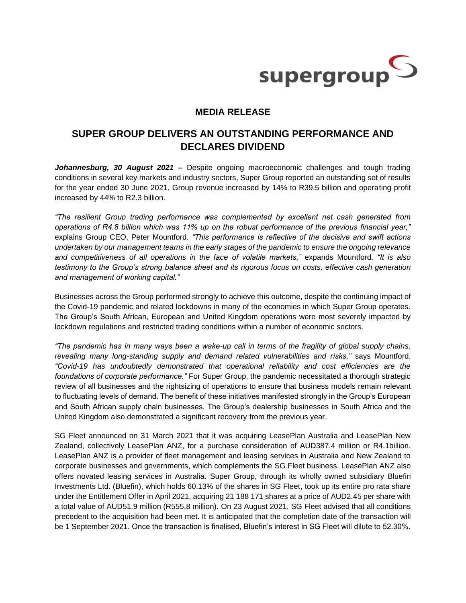

## **MEDIA RELEASE**

## **SUPER GROUP DELIVERS AN OUTSTANDING PERFORMANCE AND DECLARES DIVIDEND**

*Johannesburg, 30 August 2021 –* Despite ongoing macroeconomic challenges and tough trading conditions in several key markets and industry sectors, Super Group reported an outstanding set of results for the year ended 30 June 2021. Group revenue increased by 14% to R39.5 billion and operating profit increased by 44% to R2.3 billion.

*"The resilient Group trading performance was complemented by excellent net cash generated from operations of R4.8 billion which was 11% up on the robust performance of the previous financial year,"* explains Group CEO, Peter Mountford. *"This performance is reflective of the decisive and swift actions undertaken by our management teams in the early stages of the pandemic to ensure the ongoing relevance and competitiveness of all operations in the face of volatile markets,"* expands Mountford*. "It is also testimony to the Group's strong balance sheet and its rigorous focus on costs, effective cash generation and management of working capital."*

Businesses across the Group performed strongly to achieve this outcome, despite the continuing impact of the Covid-19 pandemic and related lockdowns in many of the economies in which Super Group operates. The Group's South African, European and United Kingdom operations were most severely impacted by lockdown regulations and restricted trading conditions within a number of economic sectors.

*"The pandemic has in many ways been a wake-up call in terms of the fragility of global supply chains, revealing many long-standing supply and demand related vulnerabilities and risks,"* says Mountford. *"Covid-19 has undoubtedly demonstrated that operational reliability and cost efficiencies are the foundations of corporate performance."* For Super Group, the pandemic necessitated a thorough strategic review of all businesses and the rightsizing of operations to ensure that business models remain relevant to fluctuating levels of demand. The benefit of these initiatives manifested strongly in the Group's European and South African supply chain businesses. The Group's dealership businesses in South Africa and the United Kingdom also demonstrated a significant recovery from the previous year.

SG Fleet announced on 31 March 2021 that it was acquiring LeasePlan Australia and LeasePlan New Zealand, collectively LeasePlan ANZ, for a purchase consideration of AUD387.4 million or R4.1billion. LeasePlan ANZ is a provider of fleet management and leasing services in Australia and New Zealand to corporate businesses and governments, which complements the SG Fleet business. LeasePlan ANZ also offers novated leasing services in Australia. Super Group, through its wholly owned subsidiary Bluefin Investments Ltd. (Bluefin), which holds 60.13% of the shares in SG Fleet, took up its entire pro rata share under the Entitlement Offer in April 2021, acquiring 21 188 171 shares at a price of AUD2.45 per share with a total value of AUD51.9 million (R555.8 million). On 23 August 2021, SG Fleet advised that all conditions precedent to the acquisition had been met. It is anticipated that the completion date of the transaction will be 1 September 2021. Once the transaction is finalised, Bluefin's interest in SG Fleet will dilute to 52.30%.